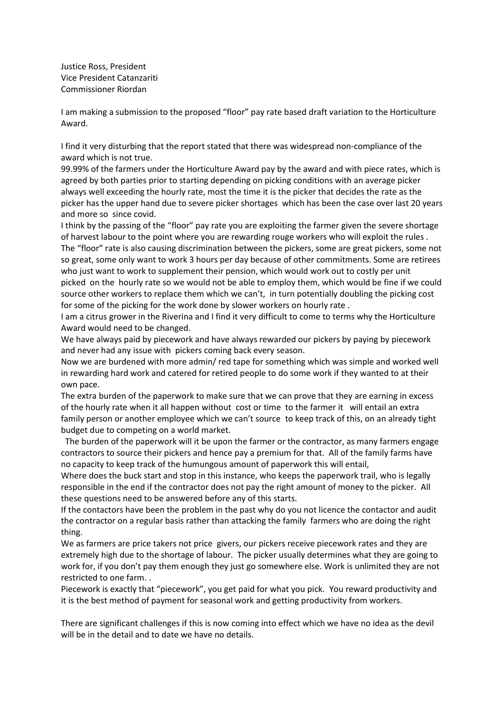Justice Ross, President Vice President Catanzariti Commissioner Riordan

I am making a submission to the proposed "floor" pay rate based draft variation to the Horticulture Award.

I find it very disturbing that the report stated that there was widespread non-compliance of the award which is not true.

99.99% of the farmers under the Horticulture Award pay by the award and with piece rates, which is agreed by both parties prior to starting depending on picking conditions with an average picker always well exceeding the hourly rate, most the time it is the picker that decides the rate as the picker has the upper hand due to severe picker shortages which has been the case over last 20 years and more so since covid.

I think by the passing of the "floor" pay rate you are exploiting the farmer given the severe shortage of harvest labour to the point where you are rewarding rouge workers who will exploit the rules . The "floor" rate is also causing discrimination between the pickers, some are great pickers, some not so great, some only want to work 3 hours per day because of other commitments. Some are retirees who just want to work to supplement their pension, which would work out to costly per unit picked on the hourly rate so we would not be able to employ them, which would be fine if we could source other workers to replace them which we can't, in turn potentially doubling the picking cost for some of the picking for the work done by slower workers on hourly rate .

I am a citrus grower in the Riverina and I find it very difficult to come to terms why the Horticulture Award would need to be changed.

We have always paid by piecework and have always rewarded our pickers by paying by piecework and never had any issue with pickers coming back every season.

Now we are burdened with more admin/ red tape for something which was simple and worked well in rewarding hard work and catered for retired people to do some work if they wanted to at their own pace.

The extra burden of the paperwork to make sure that we can prove that they are earning in excess of the hourly rate when it all happen without cost or time to the farmer it will entail an extra family person or another employee which we can't source to keep track of this, on an already tight budget due to competing on a world market.

The burden of the paperwork will it be upon the farmer or the contractor, as many farmers engage contractors to source their pickers and hence pay a premium for that. All of the family farms have no capacity to keep track of the humungous amount of paperwork this will entail,

Where does the buck start and stop in this instance, who keeps the paperwork trail, who is legally responsible in the end if the contractor does not pay the right amount of money to the picker. All these questions need to be answered before any of this starts.

If the contactors have been the problem in the past why do you not licence the contactor and audit the contractor on a regular basis rather than attacking the family farmers who are doing the right thing.

We as farmers are price takers not price givers, our pickers receive piecework rates and they are extremely high due to the shortage of labour. The picker usually determines what they are going to work for, if you don't pay them enough they just go somewhere else. Work is unlimited they are not restricted to one farm. .

Piecework is exactly that "piecework", you get paid for what you pick. You reward productivity and it is the best method of payment for seasonal work and getting productivity from workers.

There are significant challenges if this is now coming into effect which we have no idea as the devil will be in the detail and to date we have no details.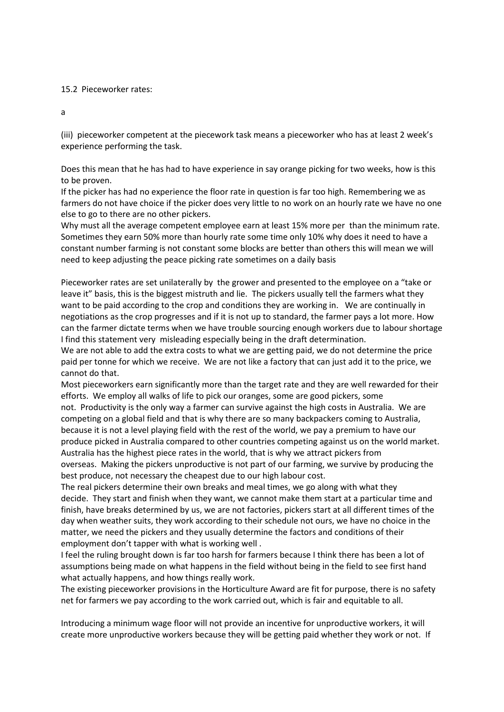## 15.2 Pieceworker rates:

a

(iii) pieceworker competent at the piecework task means a pieceworker who has at least 2 week's experience performing the task.

Does this mean that he has had to have experience in say orange picking for two weeks, how is this to be proven.

If the picker has had no experience the floor rate in question is far too high. Remembering we as farmers do not have choice if the picker does very little to no work on an hourly rate we have no one else to go to there are no other pickers.

Why must all the average competent employee earn at least 15% more per than the minimum rate. Sometimes they earn 50% more than hourly rate some time only 10% why does it need to have a constant number farming is not constant some blocks are better than others this will mean we will need to keep adjusting the peace picking rate sometimes on a daily basis

Pieceworker rates are set unilaterally by the grower and presented to the employee on a "take or leave it" basis, this is the biggest mistruth and lie. The pickers usually tell the farmers what they want to be paid according to the crop and conditions they are working in. We are continually in negotiations as the crop progresses and if it is not up to standard, the farmer pays a lot more. How can the farmer dictate terms when we have trouble sourcing enough workers due to labour shortage I find this statement very misleading especially being in the draft determination.

We are not able to add the extra costs to what we are getting paid, we do not determine the price paid per tonne for which we receive. We are not like a factory that can just add it to the price, we cannot do that.

Most pieceworkers earn significantly more than the target rate and they are well rewarded for their efforts. We employ all walks of life to pick our oranges, some are good pickers, some not. Productivity is the only way a farmer can survive against the high costs in Australia. We are competing on a global field and that is why there are so many backpackers coming to Australia,

because it is not a level playing field with the rest of the world, we pay a premium to have our produce picked in Australia compared to other countries competing against us on the world market. Australia has the highest piece rates in the world, that is why we attract pickers from overseas. Making the pickers unproductive is not part of our farming, we survive by producing the best produce, not necessary the cheapest due to our high labour cost.

The real pickers determine their own breaks and meal times, we go along with what they decide. They start and finish when they want, we cannot make them start at a particular time and finish, have breaks determined by us, we are not factories, pickers start at all different times of the day when weather suits, they work according to their schedule not ours, we have no choice in the matter, we need the pickers and they usually determine the factors and conditions of their employment don't tapper with what is working well .

I feel the ruling brought down is far too harsh for farmers because I think there has been a lot of assumptions being made on what happens in the field without being in the field to see first hand what actually happens, and how things really work.

The existing pieceworker provisions in the Horticulture Award are fit for purpose, there is no safety net for farmers we pay according to the work carried out, which is fair and equitable to all.

Introducing a minimum wage floor will not provide an incentive for unproductive workers, it will create more unproductive workers because they will be getting paid whether they work or not. If